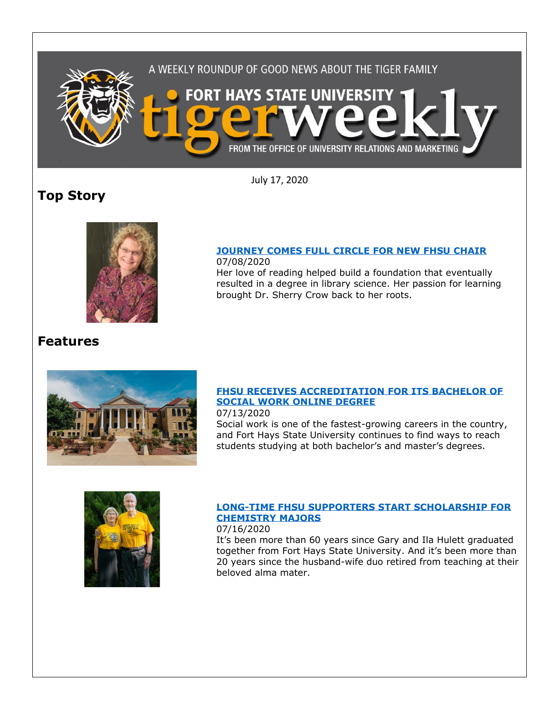

July 17, 2020

# **Top Story**



#### **[JOURNEY COMES FULL CIRCLE FOR NEW FHSU CHAIR](https://fhsu.edu/news/2020/07/journey-comes-full-circle-for-new-fhsu-chair)** 07/08/2020

Her love of reading helped build a foundation that eventually resulted in a degree in library science. Her passion for learning brought Dr. Sherry Crow back to her roots.

## **Features**



## **[FHSU RECEIVES ACCREDITATION FOR ITS BACHELOR OF](https://fhsu.edu/news/2020/07/fhsu-receives-accreditation-for-its-bachelor-of-social-work-online-degree)  [SOCIAL WORK ONLINE DEGREE](https://fhsu.edu/news/2020/07/fhsu-receives-accreditation-for-its-bachelor-of-social-work-online-degree)**

07/13/2020

Social work is one of the fastest-growing careers in the country, and Fort Hays State University continues to find ways to reach students studying at both bachelor's and master's degrees.



## **[LONG-TIME FHSU SUPPORTERS START SCHOLARSHIP FOR](https://fhsu.edu/news/2020/07/long-time-fhsu-supporters-start-scholarship-for-chemistry-majors)  [CHEMISTRY MAJORS](https://fhsu.edu/news/2020/07/long-time-fhsu-supporters-start-scholarship-for-chemistry-majors)**

07/16/2020

It's been more than 60 years since Gary and Ila Hulett graduated together from Fort Hays State University. And it's been more than 20 years since the husband-wife duo retired from teaching at their beloved alma mater.